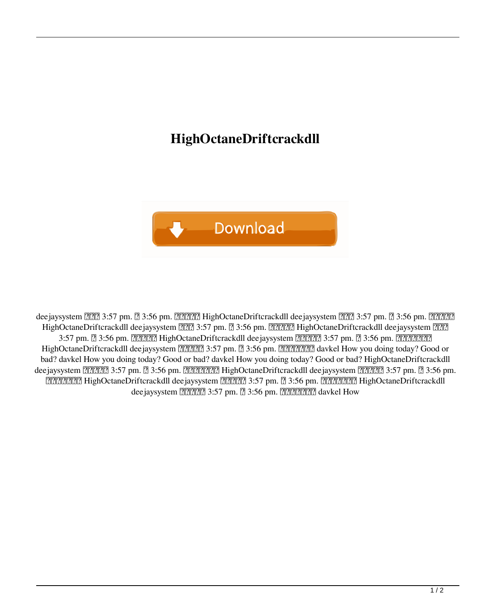## **HighOctaneDriftcrackdll**



deejaysystem 222 3:57 pm. 23:56 pm. 222 3:56 pm. 222 HighOctaneDriftcrackdll deejaysystem 222 3:57 pm. 23:56 pm. 2222 2:56 pm. HighOctaneDriftcrackdll deejaysystem 22 3:57 pm. 2 3:56 pm. 22 2012 HighOctaneDriftcrackdll deejaysystem 22 3:57 pm.  $\mathbb{Z}$  3:56 pm.  $\mathbb{Z}$   $\mathbb{Z}$   $\mathbb{Z}$  HighOctaneDriftcrackdll deejaysystem  $\mathbb{Z}$  $\mathbb{Z}$  $\mathbb{Z}$  $\mathbb{Z}$  3:57 pm.  $\mathbb{Z}$  3:56 pm.  $\mathbb{Z}$  $\mathbb{Z}$  $\mathbb{Z}$  $\mathbb{Z}$  $\mathbb{Z}$ HighOctaneDriftcrackdll deejaysystem 22022 3:57 pm. 23:56 pm. 2202222 davkel How you doing today? Good or bad? davkel How you doing today? Good or bad? davkel How you doing today? Good or bad? HighOctaneDriftcrackdll deejaysystem **22222** 3:57 pm. 2 3:56 pm. 2223.56 pm. 22223 HighOctaneDriftcrackdll deejaysystem **22222** 3:57 pm. 2 3:56 pm. *DEEREDRE HighOctaneDriftcrackdll dee jaysystem 22222 pm. 2* **3:57 pm. 2 3:56 pm. 2 2:06 pm. 2 HighOctaneDriftcrackdll** dee jaysystem  $\boxed{?}\boxed{?}\boxed{?}\$  3:57 pm.  $\boxed{?}\$  3:56 pm.  $\boxed{?}\boxed{?}\boxed{?}\boxed{?}\$  davkel How